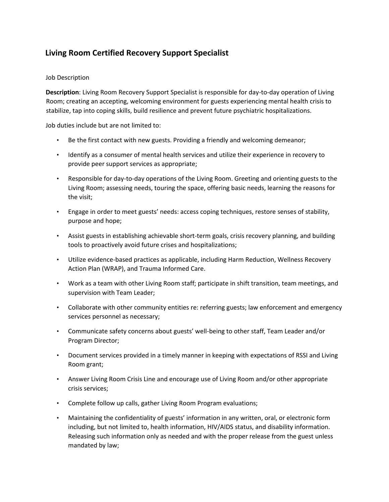## **Living Room Certified Recovery Support Specialist**

## Job Description

**Description**: Living Room Recovery Support Specialist is responsible for day-to-day operation of Living Room; creating an accepting, welcoming environment for guests experiencing mental health crisis to stabilize, tap into coping skills, build resilience and prevent future psychiatric hospitalizations.

Job duties include but are not limited to:

- Be the first contact with new guests. Providing a friendly and welcoming demeanor;
- Identify as a consumer of mental health services and utilize their experience in recovery to provide peer support services as appropriate;
- Responsible for day-to-day operations of the Living Room. Greeting and orienting guests to the Living Room; assessing needs, touring the space, offering basic needs, learning the reasons for the visit;
- Engage in order to meet guests' needs: access coping techniques, restore senses of stability, purpose and hope;
- Assist guests in establishing achievable short-term goals, crisis recovery planning, and building tools to proactively avoid future crises and hospitalizations;
- Utilize evidence-based practices as applicable, including Harm Reduction, Wellness Recovery Action Plan (WRAP), and Trauma Informed Care.
- Work as a team with other Living Room staff; participate in shift transition, team meetings, and supervision with Team Leader;
- Collaborate with other community entities re: referring guests; law enforcement and emergency services personnel as necessary;
- Communicate safety concerns about guests' well-being to other staff, Team Leader and/or Program Director;
- Document services provided in a timely manner in keeping with expectations of RSSI and Living Room grant;
- Answer Living Room Crisis Line and encourage use of Living Room and/or other appropriate crisis services;
- Complete follow up calls, gather Living Room Program evaluations;
- Maintaining the confidentiality of guests' information in any written, oral, or electronic form including, but not limited to, health information, HIV/AIDS status, and disability information. Releasing such information only as needed and with the proper release from the guest unless mandated by law;